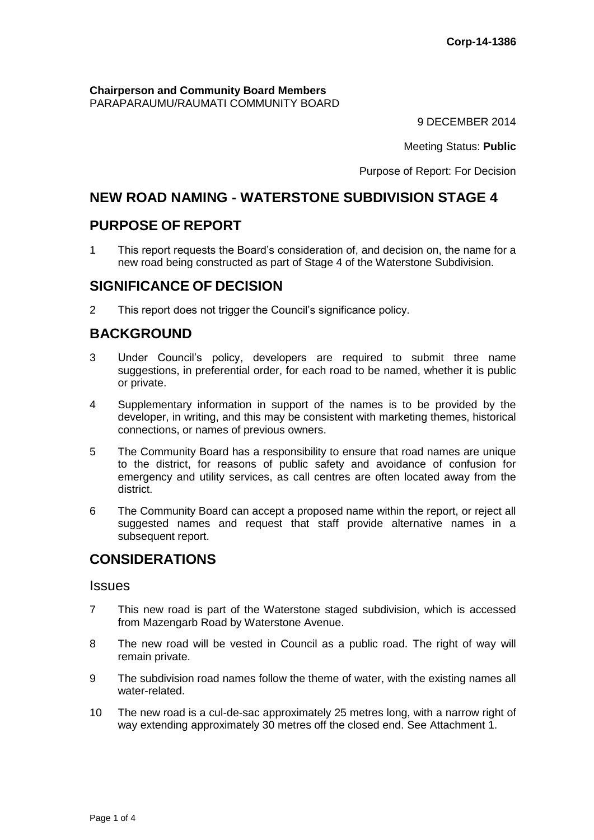**Chairperson and Community Board Members** PARAPARAUMU/RAUMATI COMMUNITY BOARD

9 DECEMBER 2014

Meeting Status: **Public**

Purpose of Report: For Decision

# **NEW ROAD NAMING - WATERSTONE SUBDIVISION STAGE 4**

# **PURPOSE OF REPORT**

1 This report requests the Board's consideration of, and decision on, the name for a new road being constructed as part of Stage 4 of the Waterstone Subdivision.

# **SIGNIFICANCE OF DECISION**

2 This report does not trigger the Council's significance policy.

# **BACKGROUND**

- 3 Under Council's policy, developers are required to submit three name suggestions, in preferential order, for each road to be named, whether it is public or private.
- 4 Supplementary information in support of the names is to be provided by the developer, in writing, and this may be consistent with marketing themes, historical connections, or names of previous owners.
- 5 The Community Board has a responsibility to ensure that road names are unique to the district, for reasons of public safety and avoidance of confusion for emergency and utility services, as call centres are often located away from the district.
- 6 The Community Board can accept a proposed name within the report, or reject all suggested names and request that staff provide alternative names in a subsequent report.

# **CONSIDERATIONS**

#### **Issues**

- 7 This new road is part of the Waterstone staged subdivision, which is accessed from Mazengarb Road by Waterstone Avenue.
- 8 The new road will be vested in Council as a public road. The right of way will remain private.
- 9 The subdivision road names follow the theme of water, with the existing names all water-related.
- 10 The new road is a cul-de-sac approximately 25 metres long, with a narrow right of way extending approximately 30 metres off the closed end. See Attachment 1.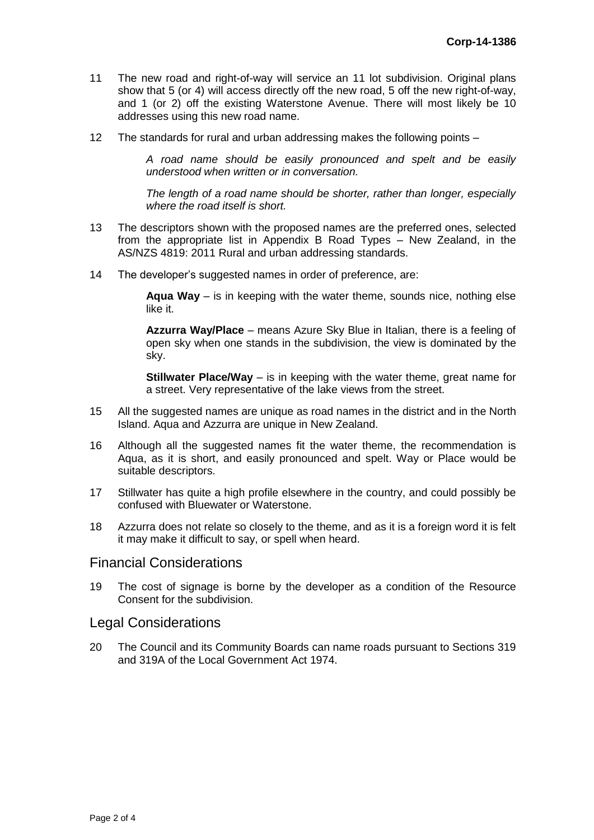- 11 The new road and right-of-way will service an 11 lot subdivision. Original plans show that 5 (or 4) will access directly off the new road, 5 off the new right-of-way, and 1 (or 2) off the existing Waterstone Avenue. There will most likely be 10 addresses using this new road name.
- 12 The standards for rural and urban addressing makes the following points –

*A road name should be easily pronounced and spelt and be easily understood when written or in conversation.*

*The length of a road name should be shorter, rather than longer, especially where the road itself is short.*

- 13 The descriptors shown with the proposed names are the preferred ones, selected from the appropriate list in Appendix B Road Types – New Zealand, in the AS/NZS 4819: 2011 Rural and urban addressing standards.
- 14 The developer's suggested names in order of preference, are:

**Aqua Way** – is in keeping with the water theme, sounds nice, nothing else like it.

**Azzurra Way/Place** – means Azure Sky Blue in Italian, there is a feeling of open sky when one stands in the subdivision, the view is dominated by the sky.

**Stillwater Place/Way** – is in keeping with the water theme, great name for a street. Very representative of the lake views from the street.

- 15 All the suggested names are unique as road names in the district and in the North Island. Aqua and Azzurra are unique in New Zealand.
- 16 Although all the suggested names fit the water theme, the recommendation is Aqua, as it is short, and easily pronounced and spelt. Way or Place would be suitable descriptors.
- 17 Stillwater has quite a high profile elsewhere in the country, and could possibly be confused with Bluewater or Waterstone.
- 18 Azzurra does not relate so closely to the theme, and as it is a foreign word it is felt it may make it difficult to say, or spell when heard.

#### Financial Considerations

19 The cost of signage is borne by the developer as a condition of the Resource Consent for the subdivision.

#### Legal Considerations

20 The Council and its Community Boards can name roads pursuant to Sections 319 and 319A of the Local Government Act 1974.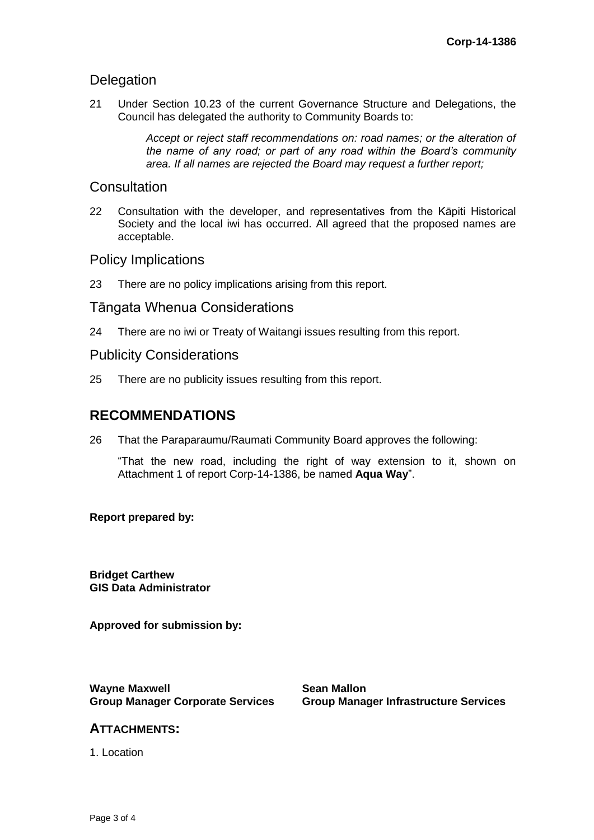# **Delegation**

21 Under Section 10.23 of the current Governance Structure and Delegations, the Council has delegated the authority to Community Boards to:

> *Accept or reject staff recommendations on: road names; or the alteration of the name of any road; or part of any road within the Board's community area. If all names are rejected the Board may request a further report;*

## **Consultation**

22 Consultation with the developer, and representatives from the Kāpiti Historical Society and the local iwi has occurred. All agreed that the proposed names are acceptable.

## Policy Implications

23 There are no policy implications arising from this report.

## Tāngata Whenua Considerations

24 There are no iwi or Treaty of Waitangi issues resulting from this report.

## Publicity Considerations

25 There are no publicity issues resulting from this report.

# **RECOMMENDATIONS**

26 That the Paraparaumu/Raumati Community Board approves the following:

"That the new road, including the right of way extension to it, shown on Attachment 1 of report Corp-14-1386, be named **Aqua Way**".

#### **Report prepared by:**

**Bridget Carthew GIS Data Administrator**

**Approved for submission by:**

**Wayne Maxwell Group Manager Corporate Services**

**Sean Mallon Group Manager Infrastructure Services**

#### **ATTACHMENTS:**

1. Location